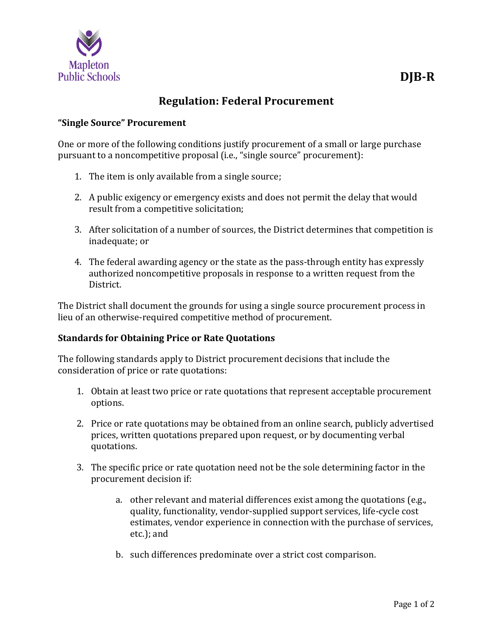

## **Regulation: Federal Procurement**

## **"Single Source" Procurement**

One or more of the following conditions justify procurement of a small or large purchase pursuant to a noncompetitive proposal (i.e., "single source" procurement):

- 1. The item is only available from a single source;
- 2. A public exigency or emergency exists and does not permit the delay that would result from a competitive solicitation;
- 3. After solicitation of a number of sources, the District determines that competition is inadequate; or
- 4. The federal awarding agency or the state as the pass-through entity has expressly authorized noncompetitive proposals in response to a written request from the District.

The District shall document the grounds for using a single source procurement process in lieu of an otherwise-required competitive method of procurement.

## **Standards for Obtaining Price or Rate Quotations**

The following standards apply to District procurement decisions that include the consideration of price or rate quotations:

- 1. Obtain at least two price or rate quotations that represent acceptable procurement options.
- 2. Price or rate quotations may be obtained from an online search, publicly advertised prices, written quotations prepared upon request, or by documenting verbal quotations.
- 3. The specific price or rate quotation need not be the sole determining factor in the procurement decision if:
	- a. other relevant and material differences exist among the quotations (e.g., quality, functionality, vendor-supplied support services, life-cycle cost estimates, vendor experience in connection with the purchase of services, etc.); and
	- b. such differences predominate over a strict cost comparison.